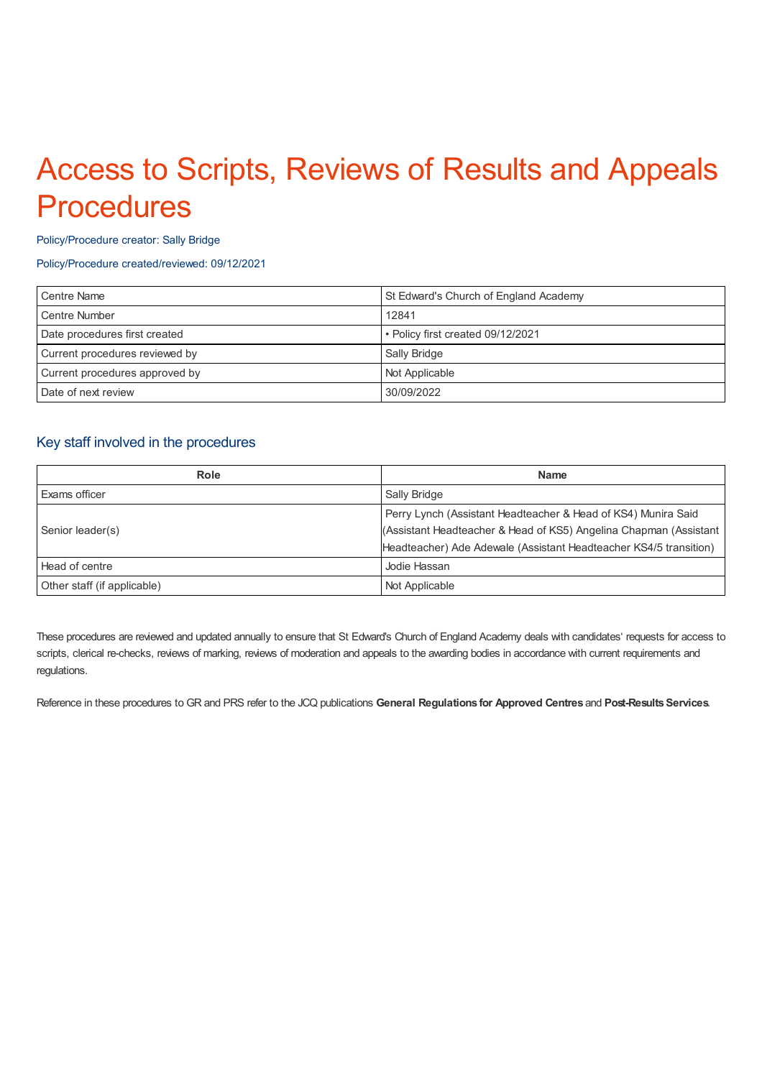# Access to Scripts, Reviews of Results and Appeals **Procedures**

#### Policy/Procedure creator: Sally Bridge

#### Policy/Procedure created/reviewed: 09/12/2021

| Centre Name                    | St Edward's Church of England Academy |
|--------------------------------|---------------------------------------|
| Centre Number                  | 12841                                 |
| Date procedures first created  | • Policy first created 09/12/2021     |
| Current procedures reviewed by | Sally Bridge                          |
| Current procedures approved by | Not Applicable                        |
| Date of next review            | 30/09/2022                            |

# Key staff involved in the procedures

| Role                        | <b>Name</b>                                                       |
|-----------------------------|-------------------------------------------------------------------|
| Exams officer               | Sally Bridge                                                      |
| Senior leader(s)            | Perry Lynch (Assistant Headteacher & Head of KS4) Munira Said     |
|                             | (Assistant Headteacher & Head of KS5) Angelina Chapman (Assistant |
|                             | Headteacher) Ade Adewale (Assistant Headteacher KS4/5 transition) |
| Head of centre              | Jodie Hassan                                                      |
| Other staff (if applicable) | Not Applicable                                                    |

These procedures are reviewed and updated annually to ensure that St Edward's Church of England Academy deals with candidates' requests for access to scripts, clerical re-checks, reviews of marking, reviews of moderation and appeals to the awarding bodies in accordance with current requirements and regulations.

Reference in these procedures to GR and PRS refer to the JCQ publications **General Regulations for Approved Centres** and **Post-ResultsServices**.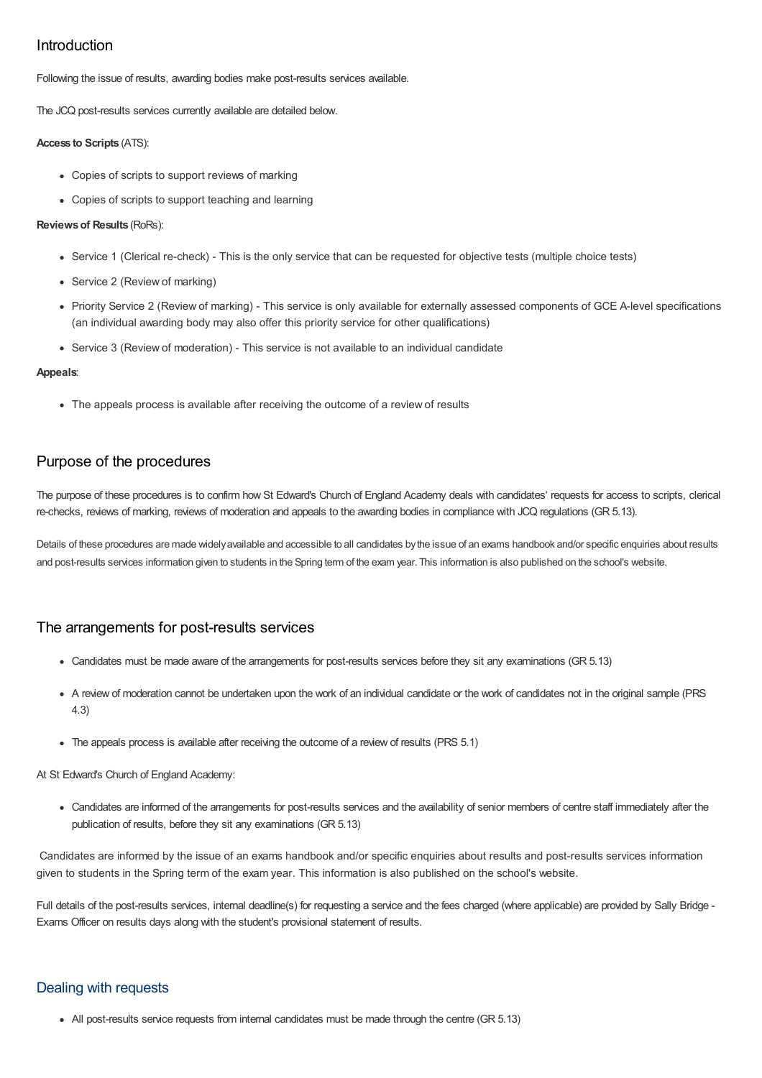# Introduction

Following the issue of results, awarding bodies make post-results services available.

The JCQ post-results services currently available are detailed below.

#### **Access to Scripts** (ATS):

- Copies of scripts to support reviews of marking
- Copies of scripts to support teaching and learning

#### **Reviewsof Results** (RoRs):

- Service 1 (Clerical re-check) This is the only service that can be requested for objective tests (multiple choice tests)
- Service 2 (Review of marking)
- Priority Service 2 (Review of marking) This service is only available for externally assessed components of GCE A-level specifications (an individual awarding body may also offer this priority service for other qualifications)
- Service 3 (Review of moderation) This service is not available to an individual candidate

#### **Appeals**:

• The appeals process is available after receiving the outcome of a review of results

# Purpose of the procedures

The purpose of these procedures is to confirm how St Edward's Church of England Academy deals with candidates' requests for access to scripts, clerical re-checks, reviews of marking, reviews of moderation and appeals to the awarding bodies in compliance with JCQ regulations (GR 5.13).

Details of these procedures are made widely available and accessible to all candidates by the issue of an exams handbook and/or specific enquiries about results and post-results services information given to students in the Spring term of the exam year. This information is also published on the school's website.

# The arrangements for post-results services

- Candidates must be made aware of the arrangements for post-results services before they sit any examinations (GR 5.13)
- A review of moderation cannot be undertaken upon the work of an individual candidate or the work of candidates not in the original sample (PRS 4.3)
- The appeals process is available after receiving the outcome of a review of results (PRS 5.1)

At St Edward's Church of England Academy:

Candidates are informed of the arrangements for post-results services and the availability of senior members of centre staff immediately after the publication of results, before they sit any examinations (GR 5.13)

Candidates are informed by the issue of an exams handbook and/or specific enquiries about results and post-results services information given to students in the Spring term of the exam year. This information is also published on the school's website.

Full details of the post-results services, internal deadline(s) for requesting a service and the fees charged (where applicable) are provided by Sally Bridge -Exams Officer on results days along with the student's provisional statement of results.

# Dealing with requests

All post-results service requests from internal candidates must be made through the centre (GR 5.13)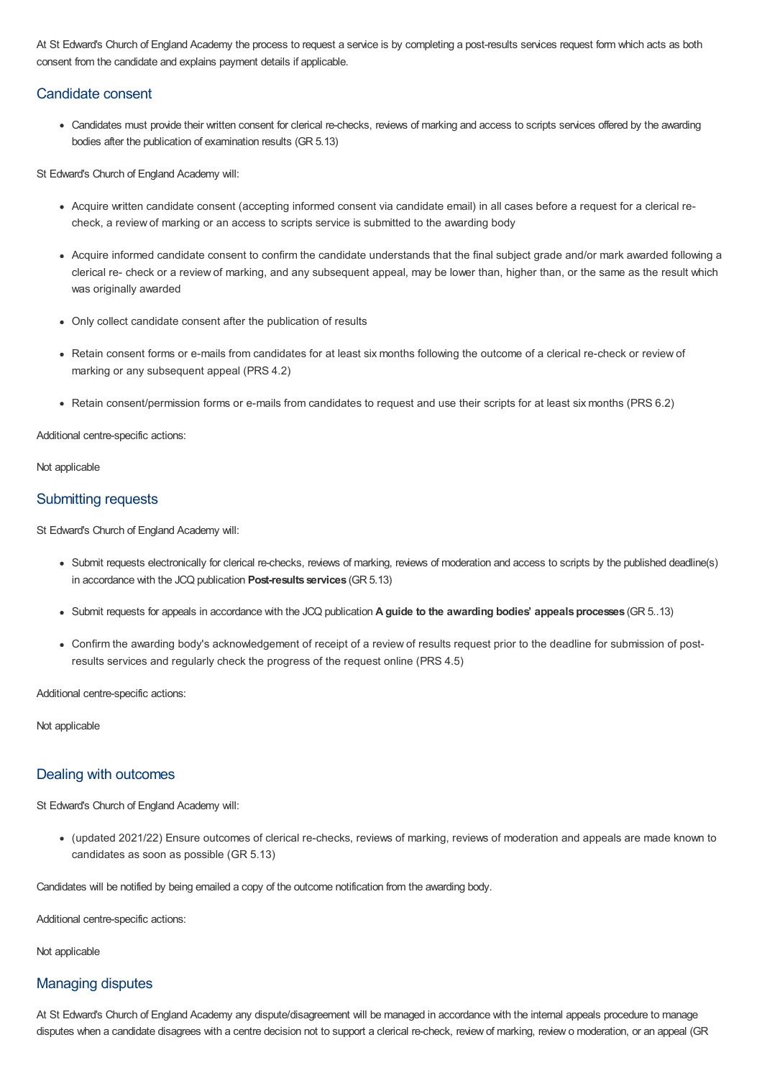At St Edward's Church of England Academy the process to request a service is by completing a post-results services request form which acts as both consent from the candidate and explains payment details if applicable.

## Candidate consent

Candidates must provide their written consent for clerical re-checks, reviews of marking and access to scripts services offered by the awarding bodies after the publication of examination results (GR 5.13)

St Edward's Church of England Academy will:

- Acquire written candidate consent (accepting informed consent via candidate email) in all cases before a request for a clerical recheck, a review of marking or an access to scripts service is submitted to the awarding body
- Acquire informed candidate consent to confirm the candidate understands that the final subject grade and/or mark awarded following a clerical re- check or a review of marking, and any subsequent appeal, may be lower than, higher than, or the same as the result which was originally awarded
- Only collect candidate consent after the publication of results
- Retain consent forms or e-mails from candidates for at least six months following the outcome of a clerical re-check or review of marking or any subsequent appeal (PRS 4.2)
- Retain consent/permission forms or e-mails from candidates to request and use their scripts for at least six months (PRS 6.2)

Additional centre-specific actions:

Not applicable

## Submitting requests

St Edward's Church of England Academy will:

- Submit requests electronically for clerical re-checks, reviews of marking, reviews of moderation and access to scripts by the published deadline(s) in accordance with the JCQ publication **Post-results services** (GR 5.13)
- Submit requests for appeals in accordance with the JCQ publication **A guide to the awarding bodies' appealsprocesses** (GR 5..13)
- Confirm the awarding body's acknowledgement of receipt of a review of results request prior to the deadline for submission of postresults services and regularly check the progress of the request online (PRS 4.5)

Additional centre-specific actions:

Not applicable

## Dealing with outcomes

St Edward's Church of England Academy will:

(updated 2021/22) Ensure outcomes of clerical re-checks, reviews of marking, reviews of moderation and appeals are made known to candidates as soon as possible (GR 5.13)

Candidates will be notified by being emailed a copy of the outcome notification from the awarding body.

Additional centre-specific actions:

Not applicable

## Managing disputes

At St Edward's Church of England Academy any dispute/disagreement will be managed in accordance with the internal appeals procedure to manage disputes when a candidate disagrees with a centre decision not to support a clerical re-check, review of marking, review o moderation, or an appeal (GR